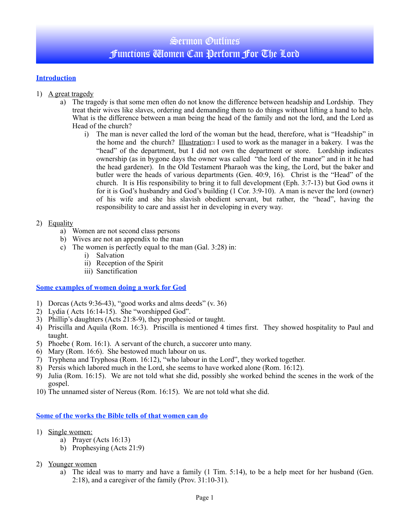# Sermon Outlines Functions Women Can Perform For The Lord

## **Introduction**

- 1) A great tragedy
	- a) The tragedy is that some men often do not know the difference between headship and Lordship. They treat their wives like slaves, ordering and demanding them to do things without lifting a hand to help. What is the difference between a man being the head of the family and not the lord, and the Lord as Head of the church?
		- i) The man is never called the lord of the woman but the head, therefore, what is "Headship" in the home and the church? Illustration:: I used to work as the manager in a bakery. I was the "head" of the department, but I did not own the department or store. Lordship indicates ownership (as in bygone days the owner was called "the lord of the manor" and in it he had the head gardener). In the Old Testament Pharaoh was the king, the Lord, but the baker and butler were the heads of various departments (Gen. 40:9, 16). Christ is the "Head" of the church. It is His responsibility to bring it to full development (Eph. 3:7-13) but God owns it for it is God's husbandry and God's building (1 Cor. 3:9-10). A man is never the lord (owner) of his wife and she his slavish obedient servant, but rather, the "head", having the responsibility to care and assist her in developing in every way.

### 2) Equality

- a) Women are not second class persons
- b) Wives are not an appendix to the man
- c) The women is perfectly equal to the man  $(Gal. 3:28)$  in:
	- i) Salvation
	- ii) Reception of the Spirit
	- iii) Sanctification

### **Some examples of women doing a work for God**

- 1) Dorcas (Acts 9:36-43), "good works and alms deeds" (v. 36)
- 2) Lydia ( Acts 16:14-15). She "worshipped God".
- 3) Phillip's daughters (Acts 21:8-9), they prophesied or taught.
- 4) Priscilla and Aquila (Rom. 16:3). Priscilla is mentioned 4 times first. They showed hospitality to Paul and taught.
- 5) Phoebe ( Rom. 16:1). A servant of the church, a succorer unto many.
- 6) Mary (Rom. 16:6). She bestowed much labour on us.
- 7) Tryphena and Tryphosa (Rom. 16:12), "who labour in the Lord", they worked together.
- 8) Persis which labored much in the Lord, she seems to have worked alone (Rom. 16:12).
- 9) Julia (Rom. 16:15). We are not told what she did, possibly she worked behind the scenes in the work of the gospel.
- 10) The unnamed sister of Nereus (Rom. 16:15). We are not told what she did.

#### **Some of the works the Bible tells of that women can do**

- 1) Single women:
	- a) Prayer (Acts 16:13)
	- b) Prophesying (Acts 21:9)
- 2) Younger women
	- a) The ideal was to marry and have a family (1 Tim. 5:14), to be a help meet for her husband (Gen. 2:18), and a caregiver of the family (Prov. 31:10-31).